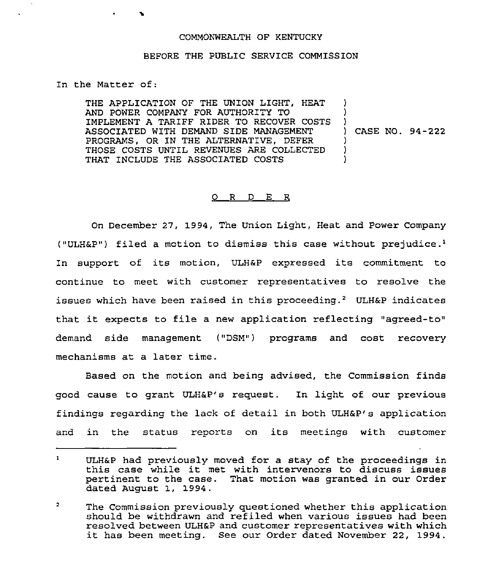## COMMONWEALTH OF KENTUCKY

## BEFORE THE PUBLIC SERVICE COMMISSION

## In the Matter of:

THE APPLICATION OF THE UNION LIGHT, HEAT AND POWER COMPANY FOR AUTHORITY TO IMPLEMENT A TARIFF RIDER TO RECOVER COSTS ASSOCIATED WITH DEMAND SIDE MANAGEMENT PROGRAMS, OR IN THE ALTERNATIVE, DEFER THOSE COSTS UNTIL REVENUES ARE COLLECTED THAT INCLUDE THE ASSOCIATED COSTS ) ) ) ) CASE NQ. 94-222 ) ) )

## 0 <sup>R</sup> <sup>D</sup> E R

On December 27, 1994, The Union Light, Heat and Power Company ("ULH&P") filed a motion to dismiss this case without prejudice.<sup>1</sup> support of its motion, ULHaP expressed its commitment to continue to meet with customer representatives to resolve the issues which have been raised in this proceeding.<sup>2</sup> ULH&P indicates that it expects to file <sup>a</sup> new application reflecting "agreed-to" demand side management ("DSM") programs and cost recovery mechanisms at a later time.

Based on the motion and being advised, the Commission finds good cause to grant ULHaP's request. In light of our previous findings regarding the lack of detail in both ULHaP's application and in the status reports on its meetings with customer

 $\mathbf{1}$ ULHap had previously moved for <sup>a</sup> stay of the proceedings in this case while it met with intervenors to discuss issues pertinent to the case. That motion was granted in our Order dated August 1, 1994.

 $\mathbf{2}$ The Commission previously questioned whether this application should be withdrawn and refiled when various issues had been resolved between ULHaP and customer representatives with which it has been meeting. See our Order dated November 22, 1994.